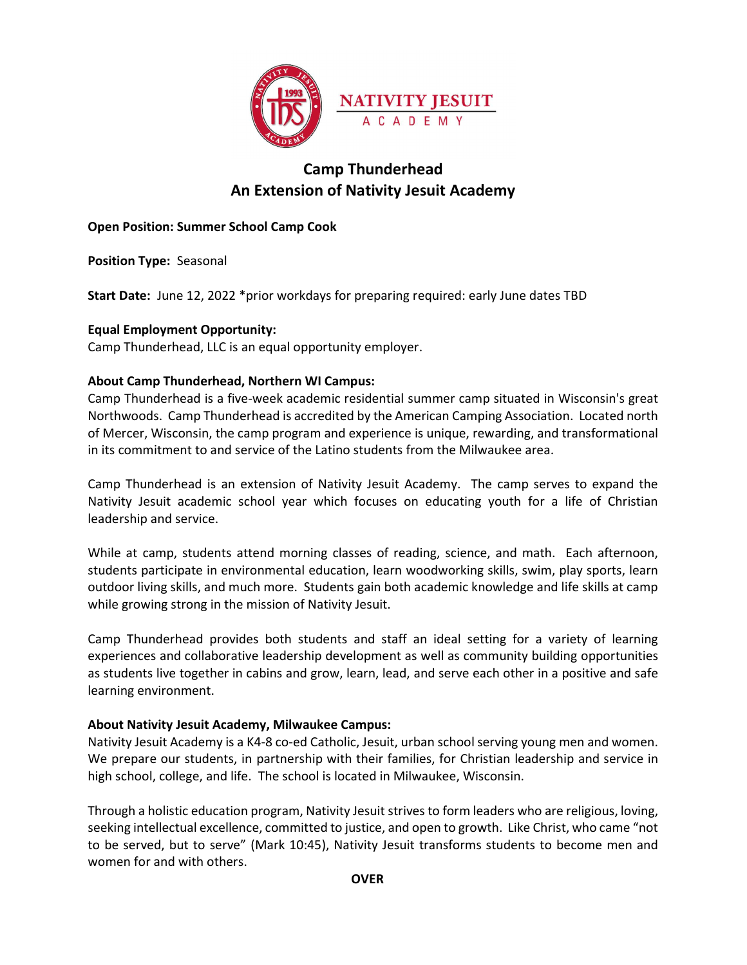

# Camp Thunderhead An Extension of Nativity Jesuit Academy

# Open Position: Summer School Camp Cook

Position Type: Seasonal

Start Date: June 12, 2022 \*prior workdays for preparing required: early June dates TBD

# Equal Employment Opportunity:

Camp Thunderhead, LLC is an equal opportunity employer.

# About Camp Thunderhead, Northern WI Campus:

Camp Thunderhead is a five-week academic residential summer camp situated in Wisconsin's great Northwoods. Camp Thunderhead is accredited by the American Camping Association. Located north of Mercer, Wisconsin, the camp program and experience is unique, rewarding, and transformational in its commitment to and service of the Latino students from the Milwaukee area.

Camp Thunderhead is an extension of Nativity Jesuit Academy. The camp serves to expand the Nativity Jesuit academic school year which focuses on educating youth for a life of Christian leadership and service.

While at camp, students attend morning classes of reading, science, and math. Each afternoon, students participate in environmental education, learn woodworking skills, swim, play sports, learn outdoor living skills, and much more. Students gain both academic knowledge and life skills at camp while growing strong in the mission of Nativity Jesuit.

Camp Thunderhead provides both students and staff an ideal setting for a variety of learning experiences and collaborative leadership development as well as community building opportunities as students live together in cabins and grow, learn, lead, and serve each other in a positive and safe learning environment.

## About Nativity Jesuit Academy, Milwaukee Campus:

Nativity Jesuit Academy is a K4-8 co-ed Catholic, Jesuit, urban school serving young men and women. We prepare our students, in partnership with their families, for Christian leadership and service in high school, college, and life. The school is located in Milwaukee, Wisconsin.

Through a holistic education program, Nativity Jesuit strives to form leaders who are religious, loving, seeking intellectual excellence, committed to justice, and open to growth. Like Christ, who came "not to be served, but to serve" (Mark 10:45), Nativity Jesuit transforms students to become men and women for and with others.